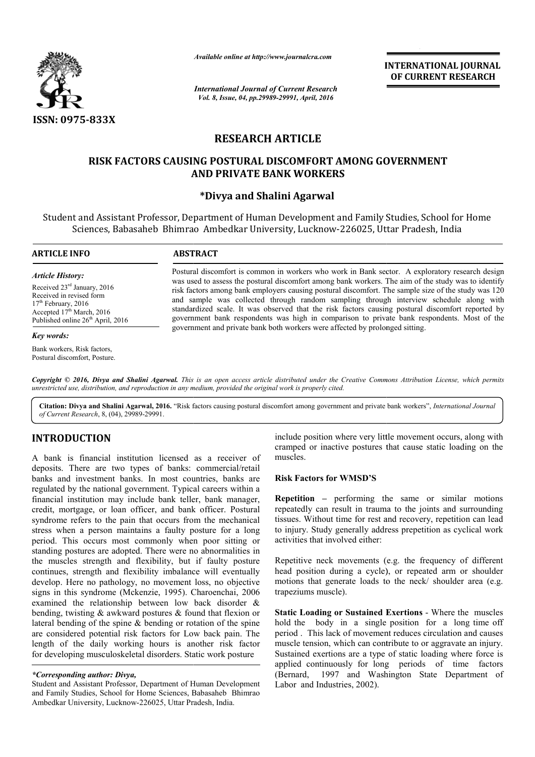

*Available online at http://www.journalcra.com*

# **RESEARCH ARTICLE**

# **RISK FACTORS CAUSING POSTURAL DISCOMFORT AMONG GOVERNMENT RISK FACTORS CAUSING POSTURAL DISCOMFORT AMONG AND PRIVATE BANK WORKERS**

## **\*Divya and Shalini Agarwal**

|                                                                                                                                                                                                                                                                                                                                                                                                                                                         |                                                                                                                                                                                                                                                                                                                                                                                                                                                                                                                                                                                                             | <b>INTERNATIONAL JOURNAL</b><br>OF CURRENT RESEARCH                                                                                                                                                                                                                                                                       |  |  |  |  |  |  |
|---------------------------------------------------------------------------------------------------------------------------------------------------------------------------------------------------------------------------------------------------------------------------------------------------------------------------------------------------------------------------------------------------------------------------------------------------------|-------------------------------------------------------------------------------------------------------------------------------------------------------------------------------------------------------------------------------------------------------------------------------------------------------------------------------------------------------------------------------------------------------------------------------------------------------------------------------------------------------------------------------------------------------------------------------------------------------------|---------------------------------------------------------------------------------------------------------------------------------------------------------------------------------------------------------------------------------------------------------------------------------------------------------------------------|--|--|--|--|--|--|
|                                                                                                                                                                                                                                                                                                                                                                                                                                                         | <b>International Journal of Current Research</b><br>Vol. 8, Issue, 04, pp.29989-29991, April, 2016                                                                                                                                                                                                                                                                                                                                                                                                                                                                                                          |                                                                                                                                                                                                                                                                                                                           |  |  |  |  |  |  |
| ISSN: 0975-833X                                                                                                                                                                                                                                                                                                                                                                                                                                         |                                                                                                                                                                                                                                                                                                                                                                                                                                                                                                                                                                                                             |                                                                                                                                                                                                                                                                                                                           |  |  |  |  |  |  |
|                                                                                                                                                                                                                                                                                                                                                                                                                                                         | <b>RESEARCH ARTICLE</b>                                                                                                                                                                                                                                                                                                                                                                                                                                                                                                                                                                                     |                                                                                                                                                                                                                                                                                                                           |  |  |  |  |  |  |
|                                                                                                                                                                                                                                                                                                                                                                                                                                                         |                                                                                                                                                                                                                                                                                                                                                                                                                                                                                                                                                                                                             | RISK FACTORS CAUSING POSTURAL DISCOMFORT AMONG GOVERNMENT<br><b>AND PRIVATE BANK WORKERS</b>                                                                                                                                                                                                                              |  |  |  |  |  |  |
|                                                                                                                                                                                                                                                                                                                                                                                                                                                         | *Divya and Shalini Agarwal                                                                                                                                                                                                                                                                                                                                                                                                                                                                                                                                                                                  |                                                                                                                                                                                                                                                                                                                           |  |  |  |  |  |  |
|                                                                                                                                                                                                                                                                                                                                                                                                                                                         |                                                                                                                                                                                                                                                                                                                                                                                                                                                                                                                                                                                                             | Student and Assistant Professor, Department of Human Development and Family Studies, School for Home<br>Sciences, Babasaheb Bhimrao Ambedkar University, Lucknow-226025, Uttar Pradesh, India                                                                                                                             |  |  |  |  |  |  |
| <b>ARTICLE INFO</b>                                                                                                                                                                                                                                                                                                                                                                                                                                     | <b>ABSTRACT</b>                                                                                                                                                                                                                                                                                                                                                                                                                                                                                                                                                                                             |                                                                                                                                                                                                                                                                                                                           |  |  |  |  |  |  |
| <b>Article History:</b><br>Received 23rd January, 2016<br>Received in revised form<br>17 <sup>th</sup> February, 2016<br>Accepted 17th March, 2016<br>Published online 26 <sup>th</sup> April, 2016                                                                                                                                                                                                                                                     | Postural discomfort is common in workers who work in Bank sector. A exploratory research design<br>was used to assess the postural discomfort among bank workers. The aim of the study was to identify<br>risk factors among bank employers causing postural discomfort. The sample size of the study was 120<br>and sample was collected through random sampling through interview schedule along with<br>standardized scale. It was observed that the risk factors causing postural discomfort reported by<br>government bank respondents was high in comparison to private bank respondents. Most of the |                                                                                                                                                                                                                                                                                                                           |  |  |  |  |  |  |
| <b>Key words:</b>                                                                                                                                                                                                                                                                                                                                                                                                                                       |                                                                                                                                                                                                                                                                                                                                                                                                                                                                                                                                                                                                             | government and private bank both workers were affected by prolonged sitting.                                                                                                                                                                                                                                              |  |  |  |  |  |  |
| Bank workers, Risk factors,<br>Postural discomfort, Posture.                                                                                                                                                                                                                                                                                                                                                                                            |                                                                                                                                                                                                                                                                                                                                                                                                                                                                                                                                                                                                             |                                                                                                                                                                                                                                                                                                                           |  |  |  |  |  |  |
| unrestricted use, distribution, and reproduction in any medium, provided the original work is properly cited.                                                                                                                                                                                                                                                                                                                                           |                                                                                                                                                                                                                                                                                                                                                                                                                                                                                                                                                                                                             | Copyright © 2016, Divya and Shalini Agarwal. This is an open access article distributed under the Creative Commons Attribution License, which permits                                                                                                                                                                     |  |  |  |  |  |  |
| of Current Research, 8, (04), 29989-29991.                                                                                                                                                                                                                                                                                                                                                                                                              |                                                                                                                                                                                                                                                                                                                                                                                                                                                                                                                                                                                                             | Citation: Divya and Shalini Agarwal, 2016. "Risk factors causing postural discomfort among government and private bank workers", International Journal                                                                                                                                                                    |  |  |  |  |  |  |
| <b>INTRODUCTION</b><br>A bank is financial institution licensed as a receiver of                                                                                                                                                                                                                                                                                                                                                                        |                                                                                                                                                                                                                                                                                                                                                                                                                                                                                                                                                                                                             | include position where very little movement occurs, along with<br>cramped or inactive postures that cause static loading on the<br>muscles.                                                                                                                                                                               |  |  |  |  |  |  |
| deposits. There are two types of banks: commercial/retail<br>banks and investment banks. In most countries, banks are                                                                                                                                                                                                                                                                                                                                   |                                                                                                                                                                                                                                                                                                                                                                                                                                                                                                                                                                                                             | <b>Risk Factors for WMSD'S</b>                                                                                                                                                                                                                                                                                            |  |  |  |  |  |  |
| regulated by the national government. Typical careers within a<br>financial institution may include bank teller, bank manager,<br>credit, mortgage, or loan officer, and bank officer. Postural<br>syndrome refers to the pain that occurs from the mechanical<br>stress when a person maintains a faulty posture for a long<br>period. This occurs most commonly when poor sitting or<br>standing postures are adopted. There were no abnormalities in |                                                                                                                                                                                                                                                                                                                                                                                                                                                                                                                                                                                                             | <b>Repetition</b> – performing the same or similar motions<br>repeatedly can result in trauma to the joints and surrounding<br>tissues. Without time for rest and recovery, repetition can lead<br>to injury. Study generally address prepetition as cyclical work<br>activities that involved either:                    |  |  |  |  |  |  |
| the muscles strength and flexibility, but if faulty posture<br>continues, strength and flexibility imbalance will eventually<br>develop. Here no pathology, no movement loss, no objective<br>signs in this syndrome (Mckenzie, 1995). Charoenchai, 2006<br>examined the relationship between low back disorder &                                                                                                                                       |                                                                                                                                                                                                                                                                                                                                                                                                                                                                                                                                                                                                             | Repetitive neck movements (e.g. the frequency of different<br>head position during a cycle), or repeated arm or shoulder<br>motions that generate loads to the neck/shoulder area (e.g.<br>trapeziums muscle).                                                                                                            |  |  |  |  |  |  |
| bending, twisting $\&$ awkward postures $\&$ found that flexion or<br>lateral bending of the spine & bending or rotation of the spine<br>are considered potential risk factors for Low back pain. The<br>length of the daily working hours is another risk factor<br>for developing musculoskeletal disorders. Static work posture                                                                                                                      |                                                                                                                                                                                                                                                                                                                                                                                                                                                                                                                                                                                                             | Static Loading or Sustained Exertions - Where the muscles<br>hold the body in a single position for a long time off<br>period. This lack of movement reduces circulation and causes<br>muscle tension, which can contribute to or aggravate an injury.<br>Sustained exertions are a type of static loading where force is |  |  |  |  |  |  |

# **INTRODUCTION**

A bank is financial institution licensed as a receiver of deposits. There are two types of banks: commercial/retail banks and investment banks. In most countries, banks are regulated by the national government. Typical careers within a financial institution may include bank teller, bank manager, credit, mortgage, or loan officer, and bank officer. Postural syndrome refers to the pain that occurs from the mechanical stress when a person maintains a faulty posture for a long period. This occurs most commonly when poor sitting or standing postures are adopted. There were no abnormalities in the muscles strength and flexibility, but if faulty posture continues, strength and flexibility imbalance will eventually develop. Here no pathology, no movement loss, no objective signs in this syndrome (Mckenzie, 1995). Charoenchai, 2006 examined the relationship between low back disorder & bending, twisting & awkward postures & found that flexion or lateral bending of the spine & bending or rotation of the spine are considered potential risk factors for Low back pain. The length of the daily working hours is another risk factor for developing musculoskeletal disorders. Static work posture pted. There were no abnormalities in<br>d flexibility, but if faulty posture<br>flexibility imbalance will eventually<br>ggy, no movement loss, no objective<br>Mckenzie, 1995). Charoenchai, 2006 include position where very little movement occurs, along with<br>
include position were commercial/retail<br>
226025, Banks: commercial/retail<br>
and or mactive postures that cause static loading on the<br>
ernment Typical careres w

### **Risk Factors for WMSD'S**

**Static Loading or Sustained Exertions - Where the muscles** hold the body in a single position for a long time off period . This lack of movement reduces circulation and causes muscle tension, which can contribute to or aggravate an injury. Sustained exertions are a type of static loading where force is applied continuously for long periods of time factors (Bernard, 1997 and Washington State Department of Labor and Industries, 2002).

*<sup>\*</sup>Corresponding author: Divya,*

Student and Assistant Professor, Department of Human Development and Family Studies, School for Home Sciences, Babasaheb Bhimrao Ambedkar University, Lucknow-226025, Uttar Pradesh, India.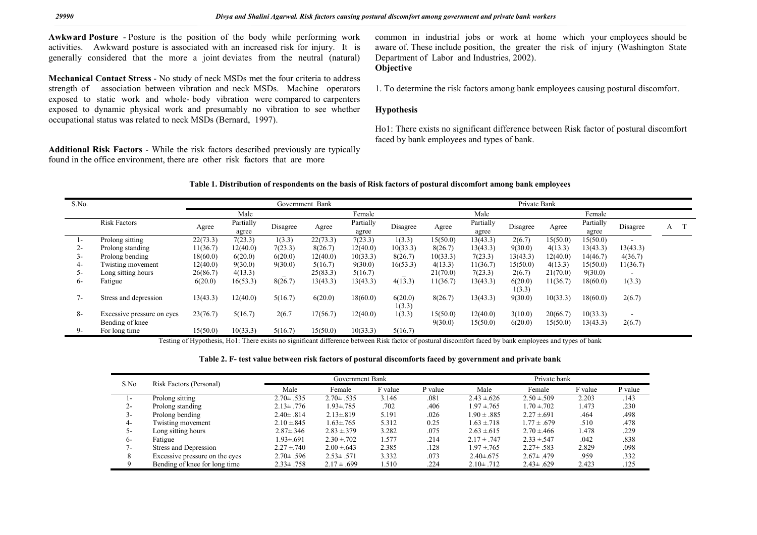**Awkward Posture** - Posture is the position of the body while performing work activities. Awkward posture is associated with an increased risk for injury. It is generally considered that the more a joint deviates from the neutral (natural)

**Mechanical Contact Stress** - No study of neck MSDs met the four criteria to address strength of association between vibration and neck MSDs. Machine operators exposed to static work and whole- body vibration were compared to carpenters exposed to dynamic physical work and presumably no vibration to see whether occupational status was related to neck MSDs (Bernard, 1997).

**Additional Risk Factors** - While the risk factors described previously are typically found in the office environment, there are other risk factors that are more

common in industrial jobs or work at home which your employees should be aware of. These include position, the greater the risk of injury (Washington State Department of Labor and Industries, 2002). **Objective**

1. To determine the risk factors among bank employees causing postural discomfort.

### **Hypothesis**

Ho1: There exists no significant difference between Risk factor of postural discomfort faced by bank employees and types of bank.

#### **Table 1. Distribution of respondents on the basis of Risk factors of postural discomfort among bank employees**

| S.No.        |                                               | Government Bank |                    |                          |          |                    | Private Bank             |                     |                      |                    |                      |                      |                  |   |
|--------------|-----------------------------------------------|-----------------|--------------------|--------------------------|----------|--------------------|--------------------------|---------------------|----------------------|--------------------|----------------------|----------------------|------------------|---|
|              | Male                                          |                 |                    | Female                   |          |                    | Male                     |                     |                      | Female             |                      |                      |                  |   |
|              | <b>Risk Factors</b>                           | Agree           | Partially<br>agree | Disagree                 | Agree    | Partially<br>agree | Disagree                 | Agree               | Partially<br>agree   | Disagree           | Agree                | Partially<br>agree   | Disagree         | А |
| $\mathbf{I}$ | Prolong sitting                               | 22(73.3)        | 7(23.3)            | 1(3.3)                   | 22(73.3) | 7(23.3)            | 1(3.3)                   | 15(50.0)            | 13(43.3)             | 2(6.7)             | 15(50.0)             | 15(50.0)             |                  |   |
| 2-           | Prolong standing                              | 1(36.7)         | 12(40.0)           | 7(23.3)                  | 8(26.7)  | 12(40.0)           | 10(33.3)                 | 8(26.7)             | 13(43.3)             | 9(30.0)            | 4(13.3)              | 13(43.3)             | 13(43.3)         |   |
| $5-$         | Prolong bending                               | 18(60.0)        | 6(20.0)            | 6(20.0)                  | 12(40.0) | 10(33.3)           | 8(26.7)                  | 10(33.3)            | 7(23.3)              | 13(43.3)           | 12(40.0)             | 14(46.7)             | 4(36.7)          |   |
| 4-           | Twisting movement                             | 12(40.0)        | 9(30.0)            | 9(30.0)                  | 5(16.7)  | 9(30.0)            | 16(53.3)                 | 4(13.3)             | 11(36.7)             | 15(50.0)           | 4(13.3)              | 15(50.0)             | 11(36.7)         |   |
| $5-$         | Long sitting hours                            | 26(86.7)        | 4(13.3)            | $\overline{\phantom{a}}$ | 25(83.3) | 5(16.7)            | $\overline{\phantom{a}}$ | 21(70.0)            | 7(23.3)              | 2(6.7)             | 21(70.0)             | 9(30.0)              | $\sim$           |   |
| $6 -$        | Fatigue                                       | 6(20.0)         | 16(53.3)           | 8(26.7)                  | 13(43.3) | 13(43.3)           | 4(13.3)                  | 11(36.7)            | 13(43.3)             | 6(20.0)<br>1(3.3)  | 11(36.7)             | 18(60.0)             | 1(3.3)           |   |
| $7-$         | Stress and depression                         | 13(43.3)        | 12(40.0)           | 5(16.7)                  | 6(20.0)  | 18(60.0)           | 6(20.0)<br>1(3.3)        | 8(26.7)             | 13(43.3)             | 9(30.0)            | 10(33.3)             | 18(60.0)             | 2(6.7)           |   |
| $8-$         | Excessive pressure on eyes<br>Bending of knee | 23(76.7)        | 5(16.7)            | 2(6.7)                   | 17(56.7) | 12(40.0)           | 1(3.3)                   | 15(50.0)<br>9(30.0) | 12(40.0)<br>15(50.0) | 3(10.0)<br>6(20.0) | 20(66.7)<br>15(50.0) | 10(33.3)<br>13(43.3) | $\sim$<br>2(6.7) |   |
| 9-           | For long time                                 | 15(50.0)        | 10(33.3)           | 5(16.7)                  | 15(50.0) | 10(33.3)           | 5(16.7)                  |                     |                      |                    |                      |                      |                  |   |

Testing of Hypothesis, Ho1: There exists no significant difference between Risk factor of postural discomfort faced by bank employees and types of bank

#### **Table 2. F- test value between risk factors of postural discomforts faced by government and private bank**

| S.No  | Risk Factors (Personal)        |                 | Government Bank |         |         | Private bank     |                  |         |         |  |
|-------|--------------------------------|-----------------|-----------------|---------|---------|------------------|------------------|---------|---------|--|
|       |                                | Male            | Female          | F value | P value | Male             | Female           | F value | P value |  |
| ı –   | Prolong sitting                | $2.70 \pm .535$ | $2.70 \pm .535$ | 3.146   | .081    | $2.43 \pm 626$   | $2.50 \pm 509$   | 2.203   | .143    |  |
| 2-    | Prolong standing               | $2.13 \pm .776$ | $1.93 \pm .785$ | .702    | .406    | $1.97 \pm 765$   | $1.70 \pm 702$   | 1.473   | .230    |  |
| 3-    | Prolong bending                | $2.40 \pm .814$ | $2.13 \pm .819$ | 5.191   | .026    | $1.90 \pm .885$  | $2.27 \pm .691$  | .464    | .498    |  |
| 4-    | Twisting movement              | $2.10 \pm 845$  | $1.63 \pm .765$ | 5.312   | 0.25    | $1.63 \pm 718$   | $1.77 \pm .679$  | .510    | .478    |  |
| 5-    | Long sitting hours             | $2.87 \pm .346$ | $2.83 \pm .379$ | 3.282   | .075    | $2.63 \pm 615$   | $2.70 \pm 466$   | 1.478   | .229    |  |
| $6 -$ | Fatigue                        | 1.93±.691       | $2.30 \pm 702$  | 1.577   | .214    | $2.17 \pm .747$  | $2.33 \pm 0.547$ | .042    | .838    |  |
| 7-    | Stress and Depression          | $2.27 \pm .740$ | $2.00 \pm 643$  | 2.385   | .128    | $1.97 \pm 765$   | $2.27 \pm .583$  | 2.829   | .098    |  |
|       | Excessive pressure on the eyes | $2.70 \pm .596$ | $2.53 \pm .571$ | 3.332   | .073    | $2.40 \pm 0.675$ | $2.67 \pm .479$  | .959    | .332    |  |
|       | Bending of knee for long time  | $2.33 \pm .758$ | $2.17 \pm .699$ | 1.510   | .224    | $2.10 \pm .712$  | $2.43 \pm .629$  | 2.423   | .125    |  |